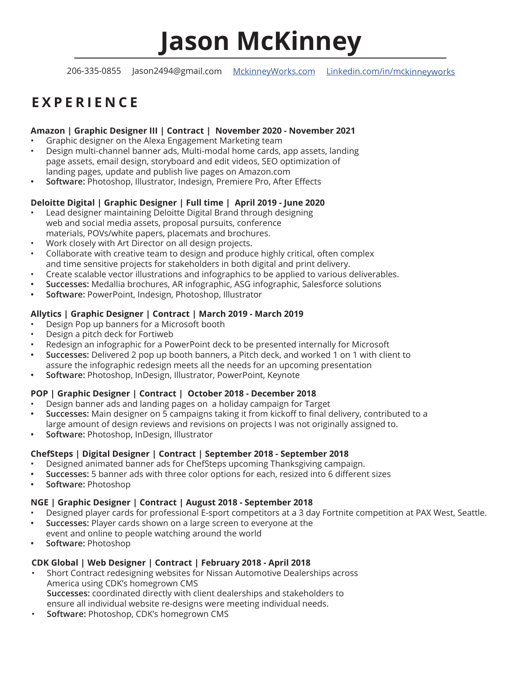# **Jason McKinney**

206-335-0855 Jason2494@gmail.com MckinneyWorks.com Linkedin.com/in/mckinneyworks

# **EXPERIENCE**

#### **Amazon | Graphic Designer III | Contract | November 2020 - November 2021**

- Graphic designer on the Alexa Engagement Marketing team
- Design multi-channel banner ads, Multi-modal home cards, app assets, landing page assets, email design, storyboard and edit videos, SEO optimization of landing pages, update and publish live pages on Amazon.com
- **• Software:** Photoshop, Illustrator, Indesign, Premiere Pro, After Effects

#### **Deloitte Digital | Graphic Designer | Full time | April 2019 - June 2020**

- Lead designer maintaining Deloitte Digital Brand through designing web and social media assets, proposal pursuits, conference materials, POVs/white papers, placemats and brochures.
- Work closely with Art Director on all design projects.
- Collaborate with creative team to design and produce highly critical, often complex and time sensitive projects for stakeholders in both digital and print delivery.
- Create scalable vector illustrations and infographics to be applied to various deliverables.
- **• Successes:** Medallia brochures, AR infographic, ASG infographic, Salesforce solutions
- **• Software:** PowerPoint, Indesign, Photoshop, Illustrator

#### **Allytics | Graphic Designer | Contract | March 2019 - March 2019**

- Design Pop up banners for a Microsoft booth
- Design a pitch deck for Fortiweb
- Redesign an infographic for a PowerPoint deck to be presented internally for Microsoft
- **• Successes:** Delivered 2 pop up booth banners, a Pitch deck, and worked 1 on 1 with client to assure the infographic redesign meets all the needs for an upcoming presentation
- **• Software:** Photoshop, InDesign, Illustrator, PowerPoint, Keynote

#### **POP | Graphic Designer | Contract | October 2018 - December 2018**

- Design banner ads and landing pages on a holiday campaign for Target
- **• Successes:** Main designer on 5 campaigns taking it from kickoff to final delivery, contributed to a
- large amount of design reviews and revisions on projects I was not originally assigned to.
- **• Software:** Photoshop, InDesign, Illustrator

#### **ChefSteps | Digital Designer | Contract | September 2018 - September 2018**

- Designed animated banner ads for ChefSteps upcoming Thanksgiving campaign.
- **• Successes:** 5 banner ads with three color options for each, resized into 6 different sizes
- **• Software:** Photoshop

#### **NGE | Graphic Designer | Contract | August 2018 - September 2018**

- Designed player cards for professional E-sport competitors at a 3 day Fortnite competition at PAX West, Seattle.
- **• Successes:** Player cards shown on a large screen to everyone at the event and online to people watching around the world
- **• Software:** Photoshop

#### **CDK Global | Web Designer | Contract | February 2018 - April 2018**

- Short Contract redesigning websites for Nissan Automotive Dealerships across America using CDK's homegrown CMS **Successes:** coordinated directly with client dealerships and stakeholders to ensure all individual website re-designs were meeting individual needs.
- **Software:** Photoshop, CDK's homegrown CMS